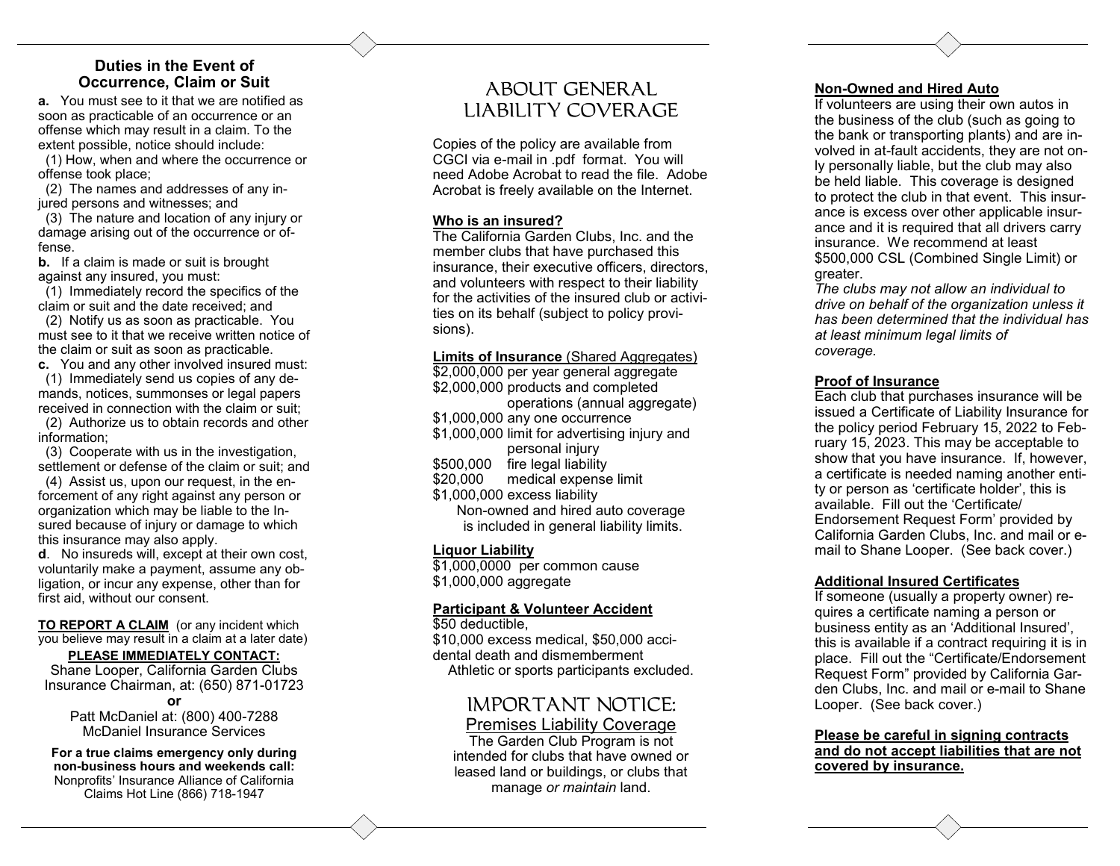#### **Duties in the Event of Occurrence, Claim or Suit**

**a.** You must see to it that we are notified as soon as practicable of an occurrence or an offense which may result in a claim. To the extent possible, notice should include:

 (1) How, when and where the occurrence or offense took place;

 (2) The names and addresses of any injured persons and witnesses; and

 (3) The nature and location of any injury or damage arising out of the occurrence or offense.

**b.** If a claim is made or suit is brought against any insured, you must:

 (1) Immediately record the specifics of the claim or suit and the date received; and

 (2) Notify us as soon as practicable. You must see to it that we receive written notice of the claim or suit as soon as practicable.

**c.** You and any other involved insured must: (1) Immediately send us copies of any demands, notices, summonses or legal papers received in connection with the claim or suit;

 (2) Authorize us to obtain records and other information;

 (3) Cooperate with us in the investigation, settlement or defense of the claim or suit; and

 (4) Assist us, upon our request, in the enforcement of any right against any person or organization which may be liable to the Insured because of injury or damage to which this insurance may also apply.

**d**.No insureds will, except at their own cost, voluntarily make a payment, assume any obligation, or incur any expense, other than for first aid, without our consent.

#### **TO REPORT A CLAIM** (or any incident which

you believe may result in a claim at a later date)

#### **PLEASE IMMEDIATELY CONTACT:**

Shane Looper, California Garden Clubs Insurance Chairman, at: (650) 871 -01723

> **or** Patt McDaniel at: (800) 400 -7288 McDaniel Insurance Services

**For a true claims emergency only during non -business hours and weekends call:** Nonprofits' Insurance Alliance of California Claims Hot Line (866) 718 -1947

# **ABOUT GENERAL LIABILITY COVERAGE**

Copies of the policy are available from CGCI via e -mail in .pdf format. You will need Adobe Acrobat to read the file. Adobe Acrobat is freely available on the Internet.

#### **Who is an insured?**

The California Garden Clubs, Inc. and the member clubs that have purchased this insurance, their executive officers, directors, and volunteers with respect to their liability for the activities of the insured club or activities on its behalf (subject to policy provisions).

**Limits of Insurance** (Shared Aggregates)

|                                          | \$2,000,000 per year general aggregate       |
|------------------------------------------|----------------------------------------------|
|                                          | \$2,000,000 products and completed           |
|                                          | operations (annual aggregate)                |
|                                          | \$1,000,000 any one occurrence               |
|                                          | \$1,000,000 limit for advertising injury and |
|                                          | personal injury                              |
|                                          | \$500,000 fire legal liability               |
|                                          | \$20,000 medical expense limit               |
|                                          | \$1,000,000 excess liability                 |
| Non-owned and hired auto coverage        |                                              |
| is included in general liability limits. |                                              |

#### **Liquor Liability**

\$1,000,0000 per common cause \$1,000,000 aggregate

#### **Participant & Volunteer Accident**

\$50 deductible. \$10,000 excess medical, \$50,000 accidental death and dismemberment Athletic or sports participants excluded.

# **IMPORTANT NOTICE:**

## Premises Liability Coverage

The Garden Club Program is not intended for clubs that have owned or leased land or buildings, or clubs that manage *or maintain* land.

#### **Non -Owned and Hired Auto**

If volunteers are using their own autos in the business of the club (such as going to the bank or transporting plants) and are involved in at-fault accidents, they are not only personally liable, but the club may also be held liable. This coverage is designed to protect the club in that event. This insurance is excess over other applicable insurance and it is required that all drivers carry insurance. We recommend at least \$500,000 CSL (Combined Single Limit) or greater.

*The clubs may not allow an individual to drive on behalf of the organization unless it has been determined that the individual has at least minimum legal limits of coverage.*

#### **Proof of Insurance**

Each club that purchases insurance will be issued a Certificate of Liability Insurance for the policy period February 15, 2022 to February 15, 2023. This may be acceptable to show that you have insurance. If, however, a certificate is needed naming another entity or person as 'certificate holder', this is available. Fill out the 'Certificate/ Endorsement Request Form' provided by California Garden Clubs, Inc. and mail or e mail to Shane Looper. (See back cover.)

#### **Additional Insured Certificates**

If someone (usually a property owner) requires a certificate naming a person or business entity as an 'Additional Insured', this is available if a contract requiring it is in place. Fill out the "Certificate/Endorsement Request Form" provided by California Garden Clubs, Inc. and mail or e-mail to Shane Looper. (See back cover.)

#### **Please be careful in signing contracts and do not accept liabilities that are not covered by insurance.**